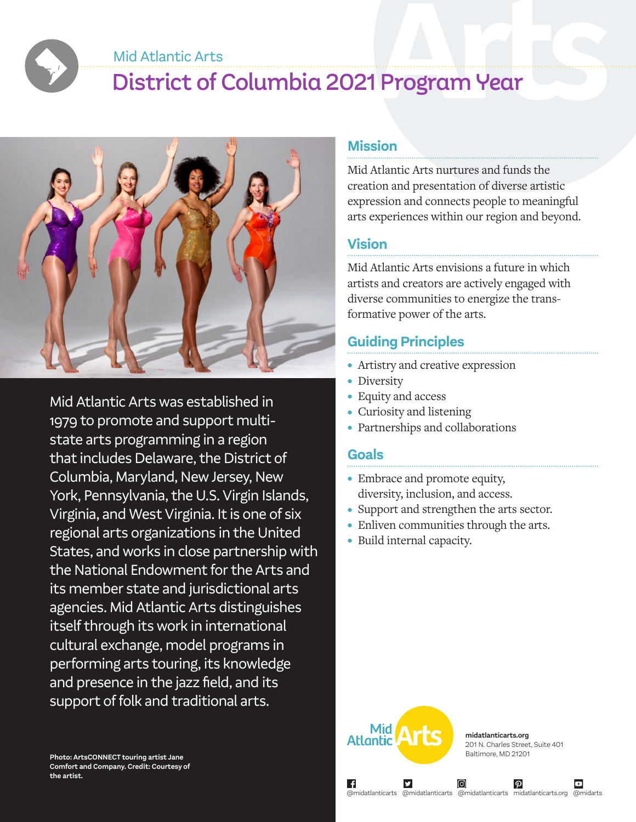#### Mid Atlantic Arts

# District of Columbia 2021 Program Year



Mid Atlantic Arts was established in 1979 to promote and support multistate arts programming in a region that includes Delaware, the District of Columbia, Maryland, New Jersey, New York, Pennsylvania, the U.S. Virgin Islands, Virginia, and West Virginia. It is one of six regional arts organizations in the United States, and works in close partnership with the National Endowment for the Arts and its member state and jurisdictional arts agencies. Mid Atlantic Arts distinguishes itself through its work in international cultural exchange, model programs in performing arts touring, its knowledge and presence in the jazz field, and its support of folk and traditional arts.

#### **Photo: ArtsCONNECT touring artist Jane Comfort and Company. Credit: Courtesy of the artist.**

#### **Mission**

Mid Atlantic Arts nurtures and funds the creation and presentation of diverse artistic expression and connects people to meaningful arts experiences within our region and beyond.

#### **Vision**

Mid Atlantic Arts envisions a future in which artists and creators are actively engaged with diverse communities to energize the transformative power of the arts.

### **Guiding Principles**

- Artistry and creative expression
- Diversity
- Equity and access
- Curiosity and listening
- Partnerships and collaborations

#### **Goals**

- Embrace and promote equity, diversity, inclusion, and access.
- Support and strengthen the arts sector.
- Enliven communities through the arts.
- Build internal capacity.



**midatlanticarts.org** 201 N. Charles Street, Suite 401 Baltimore, MD 21201